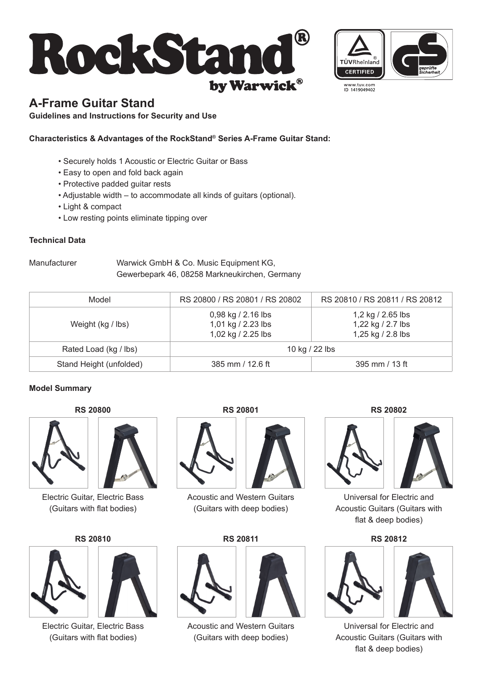



www.tuv.com<br>ID 1419049402

# **A-Frame Guitar Stand**

**Guidelines and Instructions for Security and Use**

# **Characteristics & Advantages of the RockStand® Series A-Frame Guitar Stand:**

- Securely holds 1 Acoustic or Electric Guitar or Bass
- Easy to open and fold back again
- Protective padded guitar rests
- Adjustable width to accommodate all kinds of guitars (optional).
- Light & compact
- Low resting points eliminate tipping over

### **Technical Data**

Manufacturer Warwick GmbH & Co. Music Equipment KG, Gewerbepark 46, 08258 Markneukirchen, Germany

| Model                   | RS 20800 / RS 20801 / RS 20802                                 | RS 20810 / RS 20811 / RS 20812                              |
|-------------------------|----------------------------------------------------------------|-------------------------------------------------------------|
| Weight (kg / lbs)       | 0,98 kg / 2.16 lbs<br>1,01 kg / 2.23 lbs<br>1,02 kg / 2.25 lbs | 1,2 kg / 2.65 lbs<br>1,22 kg / 2.7 lbs<br>1,25 kg / 2.8 lbs |
| Rated Load (kg / lbs)   | 10 kg / 22 lbs                                                 |                                                             |
| Stand Height (unfolded) | 385 mm / 12.6 ft                                               | 395 mm / 13 ft                                              |

### **Model Summary**





Electric Guitar, Electric Bass (Guitars with flat bodies)

# **RS 20810 RS 20811 RS 20812**





Electric Guitar, Electric Bass (Guitars with flat bodies)

**RS 20800 RS 20801 RS 20802**



Acoustic and Western Guitars (Guitars with deep bodies)



Acoustic and Western Guitars (Guitars with deep bodies)



Universal for Electric and Acoustic Guitars (Guitars with flat & deep bodies)



Universal for Electric and Acoustic Guitars (Guitars with flat & deep bodies)